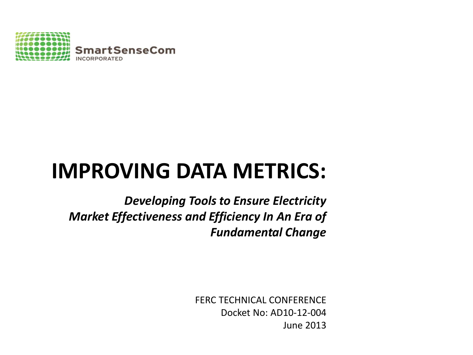

# **IMPROVING DATA METRICS:**

*Developing Tools to Ensure Electricity Market Effectiveness and Efficiency In An Era of Fundamental Change*

> FERC TECHNICAL CONFERENCE Docket No: AD10-12-004 June 2013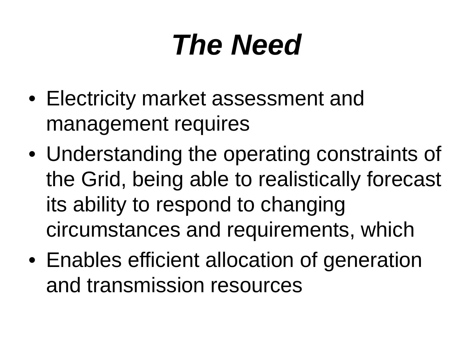# *The Need*

- Electricity market assessment and management requires
- Understanding the operating constraints of the Grid, being able to realistically forecast its ability to respond to changing circumstances and requirements, which
- Enables efficient allocation of generation and transmission resources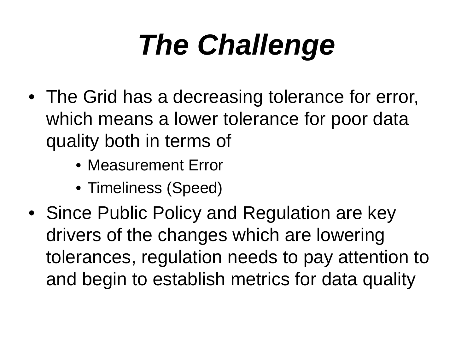# *The Challenge*

- The Grid has a decreasing tolerance for error, which means a lower tolerance for poor data quality both in terms of
	- Measurement Error
	- Timeliness (Speed)
- Since Public Policy and Regulation are key drivers of the changes which are lowering tolerances, regulation needs to pay attention to and begin to establish metrics for data quality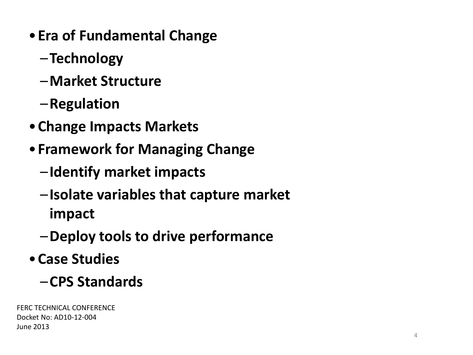- •**Era of Fundamental Change**
	- –**Technology**
	- –**Market Structure**
	- –**Regulation**
- •**Change Impacts Markets**
- •**Framework for Managing Change**
	- –**Identify market impacts**
	- –**Isolate variables that capture market impact**
	- –**Deploy tools to drive performance**
- •**Case Studies**
	- –**CPS Standards**

FERC TECHNICAL CONFERENCE Docket No: AD10-12-004 June 2013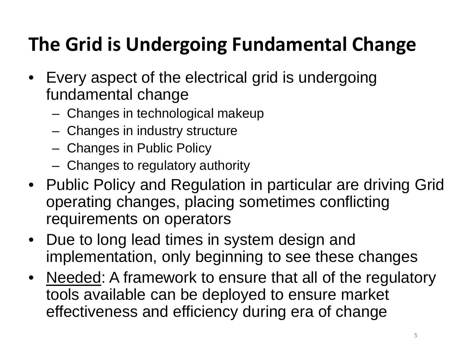# **The Grid is Undergoing Fundamental Change**

- Every aspect of the electrical grid is undergoing fundamental change
	- Changes in technological makeup
	- Changes in industry structure
	- Changes in Public Policy
	- Changes to regulatory authority
- Public Policy and Regulation in particular are driving Grid operating changes, placing sometimes conflicting requirements on operators
- Due to long lead times in system design and implementation, only beginning to see these changes
- Needed: A framework to ensure that all of the regulatory tools available can be deployed to ensure market effectiveness and efficiency during era of change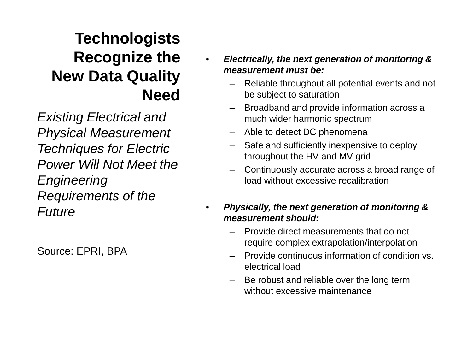### **Technologists Recognize the New Data Quality Need**

*Existing Electrical and Physical Measurement Techniques for Electric Power Will Not Meet the Engineering Requirements of the Future*

Source: EPRI, BPA

- *Electrically, the next generation of monitoring & measurement must be:*
	- Reliable throughout all potential events and not be subject to saturation
	- Broadband and provide information across a much wider harmonic spectrum
	- Able to detect DC phenomena
	- Safe and sufficiently inexpensive to deploy throughout the HV and MV grid
	- Continuously accurate across a broad range of load without excessive recalibration
- *Physically, the next generation of monitoring & measurement should:*
	- Provide direct measurements that do not require complex extrapolation/interpolation
	- Provide continuous information of condition vs. electrical load
	- Be robust and reliable over the long term without excessive maintenance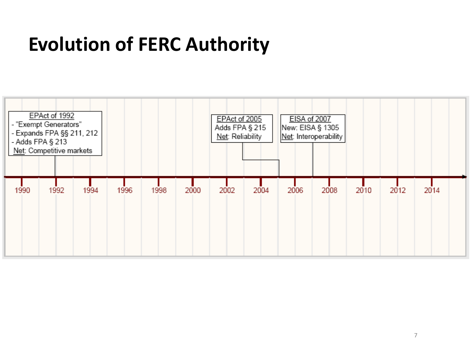# **Evolution of FERC Authority**

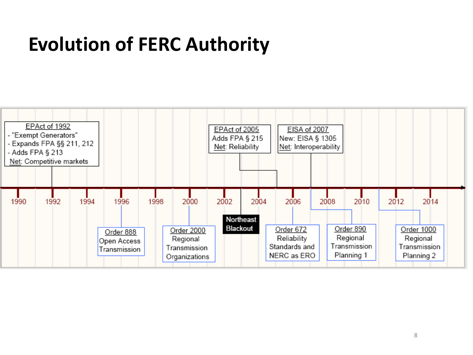# **Evolution of FERC Authority**

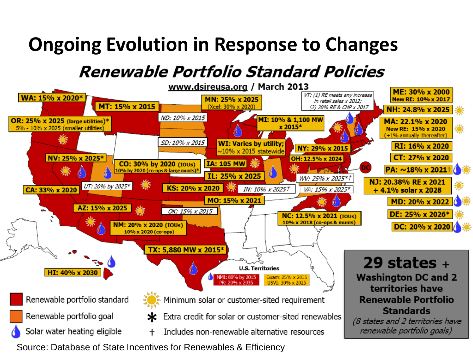## **Ongoing Evolution in Response to Changes**

### **Renewable Portfolio Standard Policies**



Source: Database of State Incentives for Renewables & Efficiency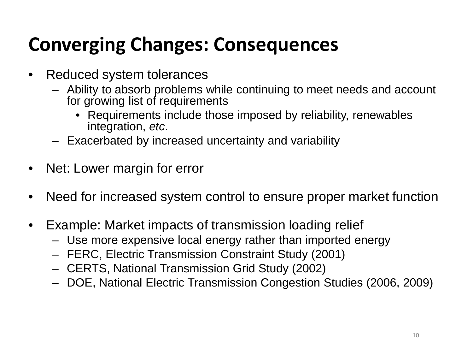# **Converging Changes: Consequences**

- Reduced system tolerances
	- Ability to absorb problems while continuing to meet needs and account for growing list of requirements
		- Requirements include those imposed by reliability, renewables integration, *etc*.
	- Exacerbated by increased uncertainty and variability
- Net: Lower margin for error
- Need for increased system control to ensure proper market function
- Example: Market impacts of transmission loading relief
	- Use more expensive local energy rather than imported energy
	- FERC, Electric Transmission Constraint Study (2001)
	- CERTS, National Transmission Grid Study (2002)
	- DOE, National Electric Transmission Congestion Studies (2006, 2009)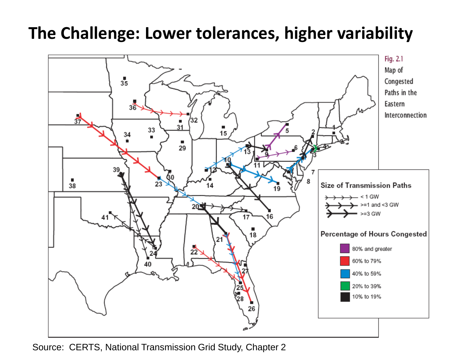

Source: CERTS, National Transmission Grid Study, Chapter 2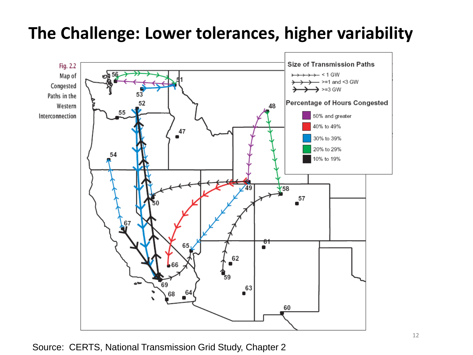

#### Source: CERTS, National Transmission Grid Study, Chapter 2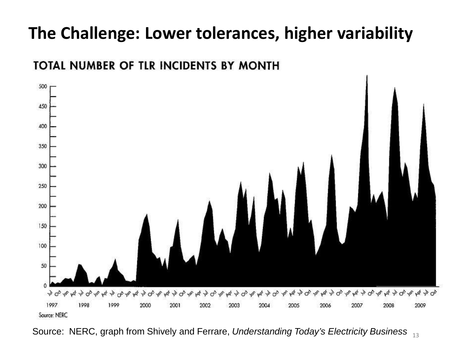

#### Source: NERC, graph from Shively and Ferrare, *Understanding Today's Electricity Business* <sup>13</sup>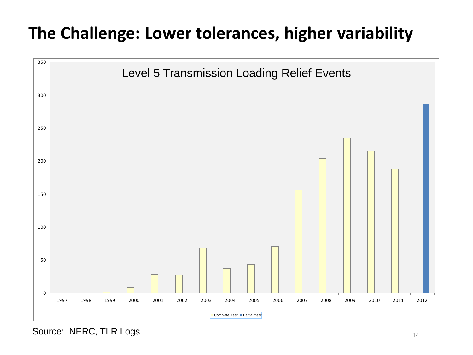

Source: NERC, TLR Logs 14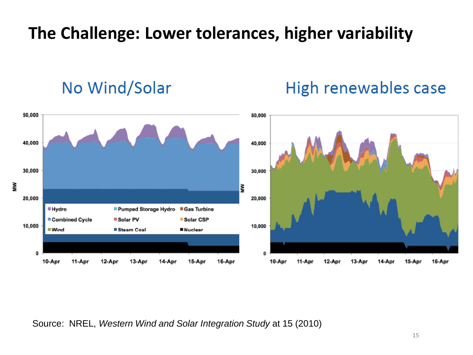### No Wind/Solar

### High renewables case



Source: NREL, *Western Wind and Solar Integration Study* at 15 (2010)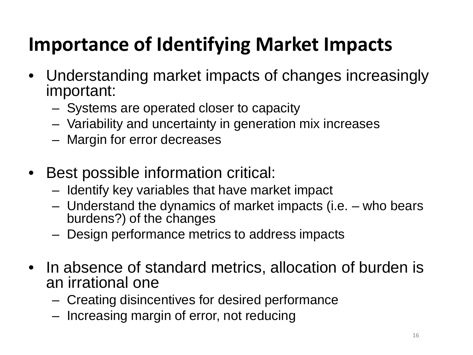# **Importance of Identifying Market Impacts**

- Understanding market impacts of changes increasingly important:
	- Systems are operated closer to capacity
	- Variability and uncertainty in generation mix increases
	- Margin for error decreases
- Best possible information critical:
	- Identify key variables that have market impact
	- Understand the dynamics of market impacts (i.e. who bears burdens?) of the changes
	- Design performance metrics to address impacts
- In absence of standard metrics, allocation of burden is an irrational one
	- Creating disincentives for desired performance
	- Increasing margin of error, not reducing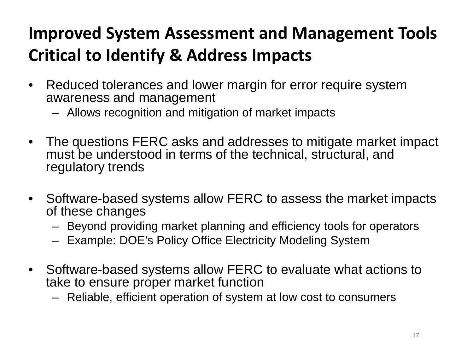### **Improved System Assessment and Management Tools Critical to Identify & Address Impacts**

- Reduced tolerances and lower margin for error require system awareness and management
	- Allows recognition and mitigation of market impacts
- The questions FERC asks and addresses to mitigate market impact must be understood in terms of the technical, structural, and regulatory trends
- Software-based systems allow FERC to assess the market impacts of these changes
	- Beyond providing market planning and efficiency tools for operators
	- Example: DOE's Policy Office Electricity Modeling System
- Software-based systems allow FERC to evaluate what actions to take to ensure proper market function
	- Reliable, efficient operation of system at low cost to consumers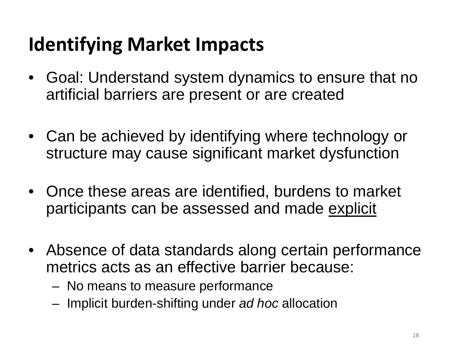# **Identifying Market Impacts**

- Goal: Understand system dynamics to ensure that no artificial barriers are present or are created
- Can be achieved by identifying where technology or structure may cause significant market dysfunction
- Once these areas are identified, burdens to market participants can be assessed and made explicit
- Absence of data standards along certain performance metrics acts as an effective barrier because:
	- No means to measure performance
	- Implicit burden-shifting under *ad hoc* allocation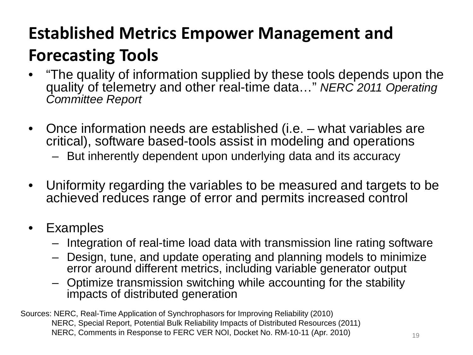### **Established Metrics Empower Management and Forecasting Tools**

- "The quality of information supplied by these tools depends upon the quality of telemetry and other real-time data…" *NERC 2011 Operating Committee Report*
- Once information needs are established (i.e. what variables are critical), software based-tools assist in modeling and operations
	- But inherently dependent upon underlying data and its accuracy
- Uniformity regarding the variables to be measured and targets to be achieved reduces range of error and permits increased control
- Examples
	- Integration of real-time load data with transmission line rating software
	- Design, tune, and update operating and planning models to minimize error around different metrics, including variable generator output
	- Optimize transmission switching while accounting for the stability impacts of distributed generation

Sources: NERC, Real-Time Application of Synchrophasors for Improving Reliability (2010) NERC, Special Report, Potential Bulk Reliability Impacts of Distributed Resources (2011) NERC, Comments in Response to FERC VER NOI, Docket No. RM-10-11 (Apr. 2010)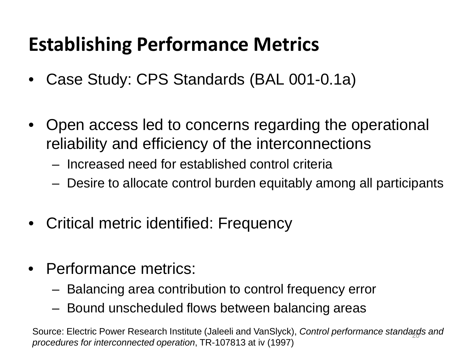# **Establishing Performance Metrics**

- Case Study: CPS Standards (BAL 001-0.1a)
- Open access led to concerns regarding the operational reliability and efficiency of the interconnections
	- Increased need for established control criteria
	- Desire to allocate control burden equitably among all participants
- Critical metric identified: Frequency
- Performance metrics:
	- Balancing area contribution to control frequency error
	- Bound unscheduled flows between balancing areas

Source: Electric Power Research Institute (Jaleeli and VanSlyck), *Control performance standarৣds and procedures for interconnected operation*, TR-107813 at iv (1997)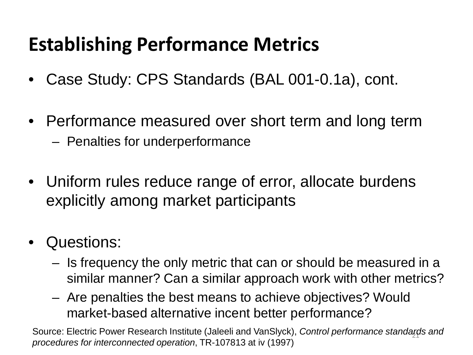# **Establishing Performance Metrics**

- Case Study: CPS Standards (BAL 001-0.1a), cont.
- Performance measured over short term and long term – Penalties for underperformance
- Uniform rules reduce range of error, allocate burdens explicitly among market participants
- Questions:
	- Is frequency the only metric that can or should be measured in a similar manner? Can a similar approach work with other metrics?
	- Are penalties the best means to achieve objectives? Would market-based alternative incent better performance?

21 Source: Electric Power Research Institute (Jaleeli and VanSlyck), *Control performance standards and procedures for interconnected operation*, TR-107813 at iv (1997)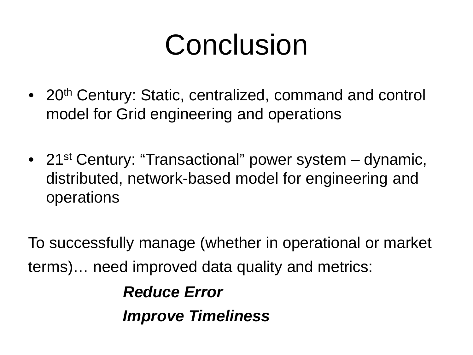# Conclusion

- 20<sup>th</sup> Century: Static, centralized, command and control model for Grid engineering and operations
- 21<sup>st</sup> Century: "Transactional" power system dynamic, distributed, network-based model for engineering and operations

To successfully manage (whether in operational or market terms)… need improved data quality and metrics:

> *Reduce Error Improve Timeliness*